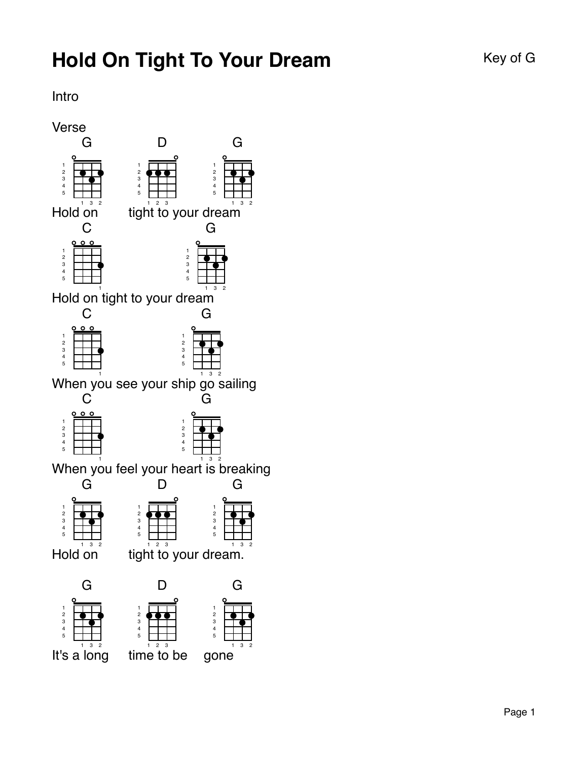## Intro

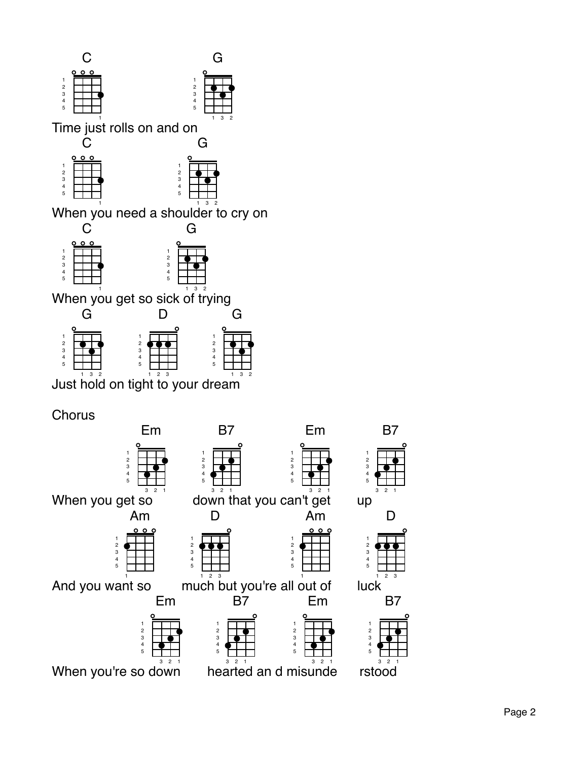



Em

B7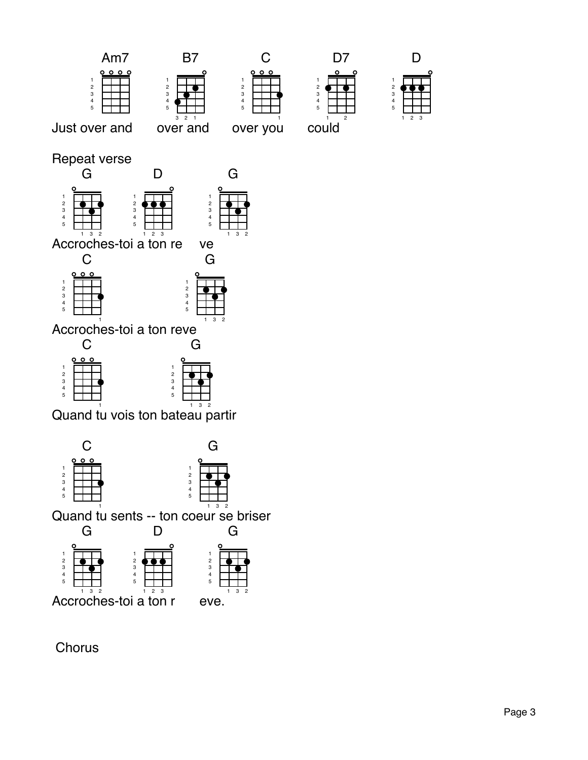



Chorus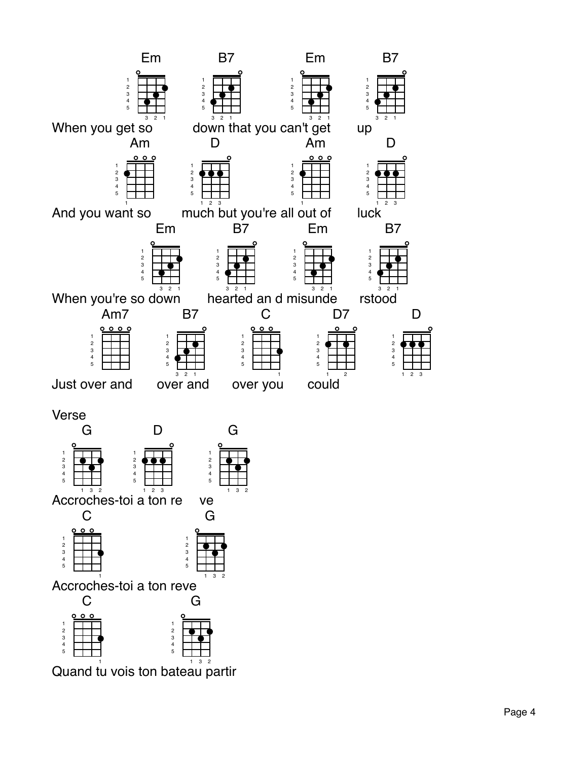

Quand tu vois ton bateau partir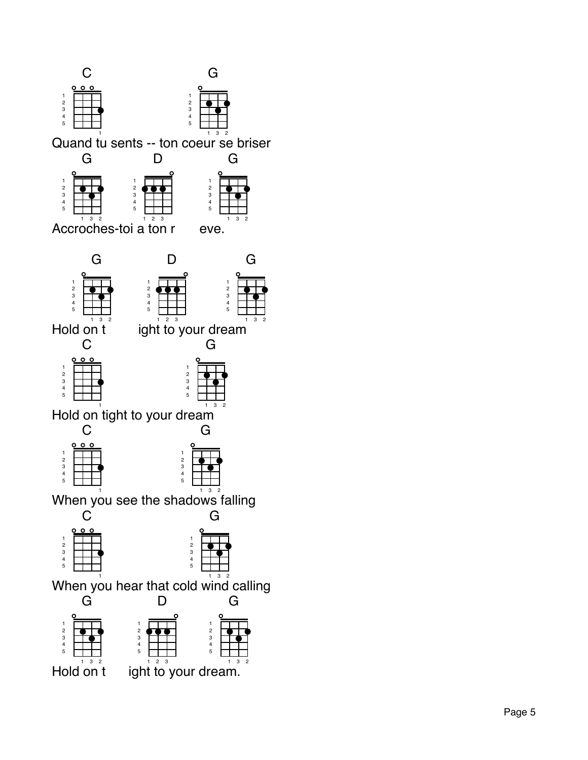